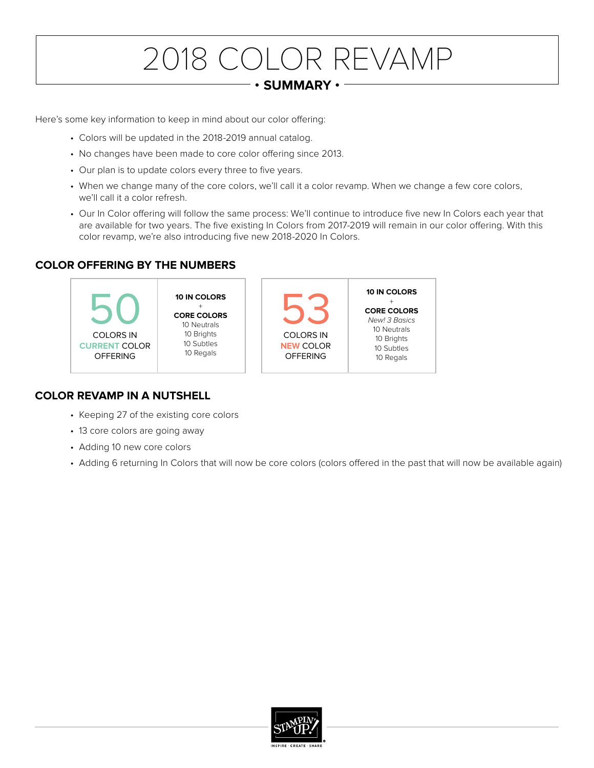# 2018 COLOR REVAMP

#### **• SUMMARY •**

Here's some key information to keep in mind about our color offering:

- Colors will be updated in the 2018-2019 annual catalog.
- No changes have been made to core color offering since 2013.
- Our plan is to update colors every three to five years.
- When we change many of the core colors, we'll call it a color revamp. When we change a few core colors, we'll call it a color refresh.
- Our In Color offering will follow the same process: We'll continue to introduce five new In Colors each year that are available for two years. The five existing In Colors from 2017-2019 will remain in our color offering. With this color revamp, we're also introducing five new 2018-2020 In Colors.

### **COLOR OFFERING BY THE NUMBERS**



### **COLOR REVAMP IN A NUTSHELL**

- Keeping 27 of the existing core colors
- 13 core colors are going away
- Adding 10 new core colors
- Adding 6 returning In Colors that will now be core colors (colors offered in the past that will now be available again)

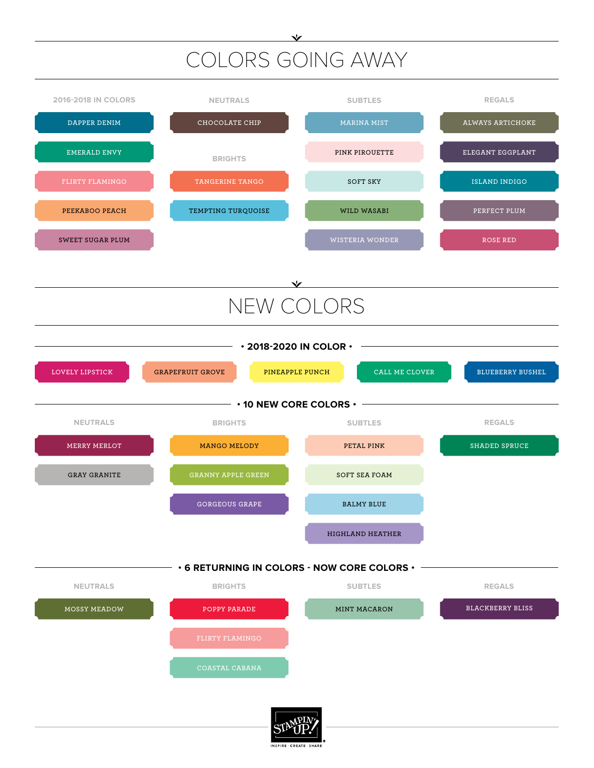## COLORS GOING AWAY

 $\checkmark$